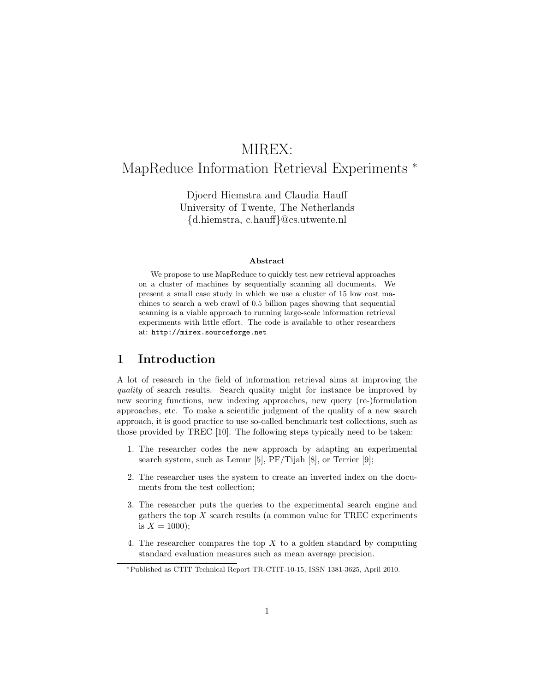# MIREX:

## MapReduce Information Retrieval Experiments <sup>\*</sup>

Djoerd Hiemstra and Claudia Hauff University of Twente, The Netherlands {d.hiemstra, c.hauff}@cs.utwente.nl

#### Abstract

We propose to use MapReduce to quickly test new retrieval approaches on a cluster of machines by sequentially scanning all documents. We present a small case study in which we use a cluster of 15 low cost machines to search a web crawl of 0.5 billion pages showing that sequential scanning is a viable approach to running large-scale information retrieval experiments with little effort. The code is available to other researchers at: http://mirex.sourceforge.net

### 1 Introduction

A lot of research in the field of information retrieval aims at improving the quality of search results. Search quality might for instance be improved by new scoring functions, new indexing approaches, new query (re-)formulation approaches, etc. To make a scientific judgment of the quality of a new search approach, it is good practice to use so-called benchmark test collections, such as those provided by TREC [10]. The following steps typically need to be taken:

- 1. The researcher codes the new approach by adapting an experimental search system, such as Lemur [5], PF/Tijah [8], or Terrier [9];
- 2. The researcher uses the system to create an inverted index on the documents from the test collection;
- 3. The researcher puts the queries to the experimental search engine and gathers the top  $X$  search results (a common value for TREC experiments is  $X = 1000$ :
- 4. The researcher compares the top  $X$  to a golden standard by computing standard evaluation measures such as mean average precision.

<sup>∗</sup>Published as CTIT Technical Report TR-CTIT-10-15, ISSN 1381-3625, April 2010.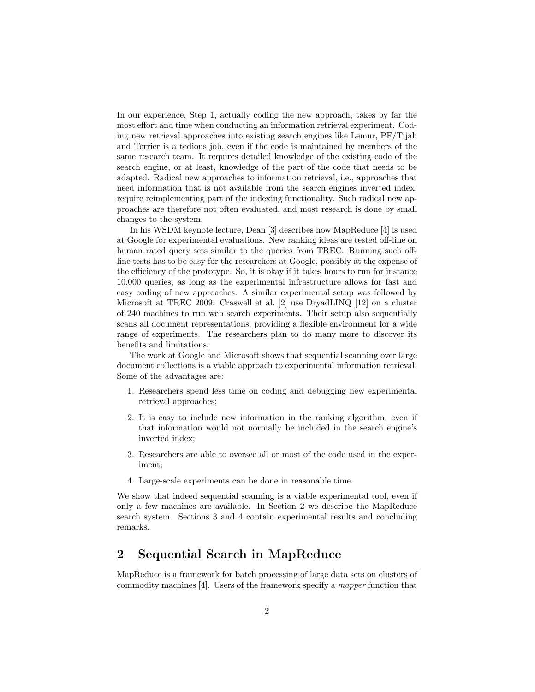In our experience, Step 1, actually coding the new approach, takes by far the most effort and time when conducting an information retrieval experiment. Coding new retrieval approaches into existing search engines like Lemur, PF/Tijah and Terrier is a tedious job, even if the code is maintained by members of the same research team. It requires detailed knowledge of the existing code of the search engine, or at least, knowledge of the part of the code that needs to be adapted. Radical new approaches to information retrieval, i.e., approaches that need information that is not available from the search engines inverted index, require reimplementing part of the indexing functionality. Such radical new approaches are therefore not often evaluated, and most research is done by small changes to the system.

In his WSDM keynote lecture, Dean [3] describes how MapReduce [4] is used at Google for experimental evaluations. New ranking ideas are tested off-line on human rated query sets similar to the queries from TREC. Running such offline tests has to be easy for the researchers at Google, possibly at the expense of the efficiency of the prototype. So, it is okay if it takes hours to run for instance 10,000 queries, as long as the experimental infrastructure allows for fast and easy coding of new approaches. A similar experimental setup was followed by Microsoft at TREC 2009: Craswell et al. [2] use DryadLINQ [12] on a cluster of 240 machines to run web search experiments. Their setup also sequentially scans all document representations, providing a flexible environment for a wide range of experiments. The researchers plan to do many more to discover its benefits and limitations.

The work at Google and Microsoft shows that sequential scanning over large document collections is a viable approach to experimental information retrieval. Some of the advantages are:

- 1. Researchers spend less time on coding and debugging new experimental retrieval approaches;
- 2. It is easy to include new information in the ranking algorithm, even if that information would not normally be included in the search engine's inverted index;
- 3. Researchers are able to oversee all or most of the code used in the experiment;
- 4. Large-scale experiments can be done in reasonable time.

We show that indeed sequential scanning is a viable experimental tool, even if only a few machines are available. In Section 2 we describe the MapReduce search system. Sections 3 and 4 contain experimental results and concluding remarks.

## 2 Sequential Search in MapReduce

MapReduce is a framework for batch processing of large data sets on clusters of commodity machines [4]. Users of the framework specify a mapper function that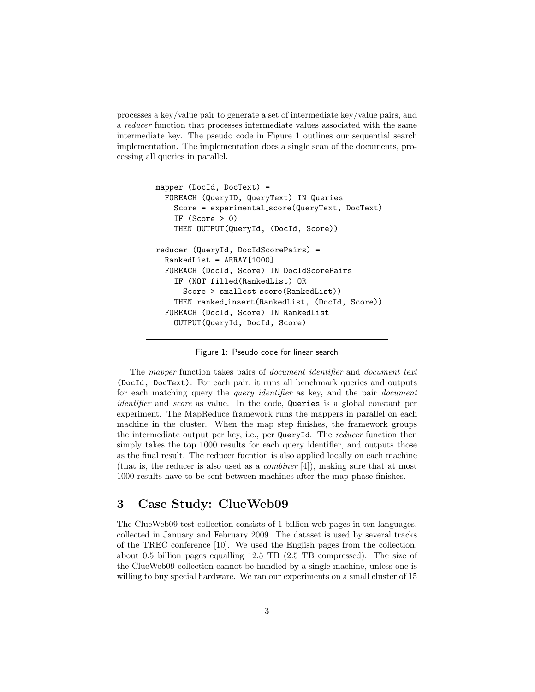processes a key/value pair to generate a set of intermediate key/value pairs, and a reducer function that processes intermediate values associated with the same intermediate key. The pseudo code in Figure 1 outlines our sequential search implementation. The implementation does a single scan of the documents, processing all queries in parallel.

```
mapper (DocId, DocText) =
  FOREACH (QueryID, QueryText) IN Queries
    Score = experimental score(QueryText, DocText)
    IF (Score > 0)THEN OUTPUT(QueryId, (DocId, Score))
reducer (QueryId, DocIdScorePairs) =
  RankedList = ARRAY[1000]
  FOREACH (DocId, Score) IN DocIdScorePairs
    IF (NOT filled(RankedList) OR
      Score > smallest_score(RankedList))
    THEN ranked insert(RankedList, (DocId, Score))
  FOREACH (DocId, Score) IN RankedList
    OUTPUT(QueryId, DocId, Score)
```
Figure 1: Pseudo code for linear search

The mapper function takes pairs of document identifier and document text (DocId, DocText). For each pair, it runs all benchmark queries and outputs for each matching query the *query identifier* as key, and the pair *document* identifier and score as value. In the code, Queries is a global constant per experiment. The MapReduce framework runs the mappers in parallel on each machine in the cluster. When the map step finishes, the framework groups the intermediate output per key, i.e., per QueryId. The reducer function then simply takes the top 1000 results for each query identifier, and outputs those as the final result. The reducer fucntion is also applied locally on each machine (that is, the reducer is also used as a *combiner*  $[4]$ ), making sure that at most 1000 results have to be sent between machines after the map phase finishes.

### 3 Case Study: ClueWeb09

The ClueWeb09 test collection consists of 1 billion web pages in ten languages, collected in January and February 2009. The dataset is used by several tracks of the TREC conference [10]. We used the English pages from the collection, about 0.5 billion pages equalling 12.5 TB (2.5 TB compressed). The size of the ClueWeb09 collection cannot be handled by a single machine, unless one is willing to buy special hardware. We ran our experiments on a small cluster of 15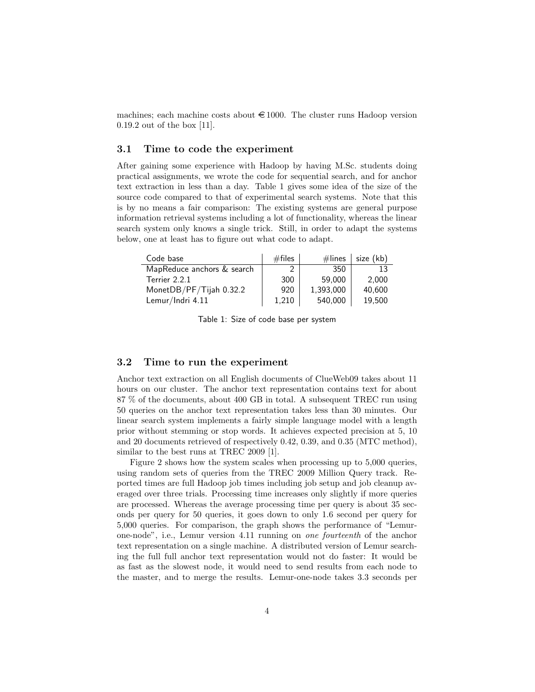machines; each machine costs about  $\epsilon$  1000. The cluster runs Hadoop version 0.19.2 out of the box [11].

#### 3.1 Time to code the experiment

After gaining some experience with Hadoop by having M.Sc. students doing practical assignments, we wrote the code for sequential search, and for anchor text extraction in less than a day. Table 1 gives some idea of the size of the source code compared to that of experimental search systems. Note that this is by no means a fair comparison: The existing systems are general purpose information retrieval systems including a lot of functionality, whereas the linear search system only knows a single trick. Still, in order to adapt the systems below, one at least has to figure out what code to adapt.

| Code base                  | $#$ files | $\#$ lines | size (kb) |
|----------------------------|-----------|------------|-----------|
| MapReduce anchors & search |           | 350        | 13        |
| Terrier 2.2.1              | 300       | 59.000     | 2,000     |
| MonetDB/PF/Tijah 0.32.2    | 920       | 1,393,000  | 40.600    |
| Lemur/Indri 4.11           | 1,210     | 540,000    | 19.500    |

Table 1: Size of code base per system

#### 3.2 Time to run the experiment

Anchor text extraction on all English documents of ClueWeb09 takes about 11 hours on our cluster. The anchor text representation contains text for about 87 % of the documents, about 400 GB in total. A subsequent TREC run using 50 queries on the anchor text representation takes less than 30 minutes. Our linear search system implements a fairly simple language model with a length prior without stemming or stop words. It achieves expected precision at 5, 10 and 20 documents retrieved of respectively 0.42, 0.39, and 0.35 (MTC method), similar to the best runs at TREC 2009 [1].

Figure 2 shows how the system scales when processing up to 5,000 queries, using random sets of queries from the TREC 2009 Million Query track. Reported times are full Hadoop job times including job setup and job cleanup averaged over three trials. Processing time increases only slightly if more queries are processed. Whereas the average processing time per query is about 35 seconds per query for 50 queries, it goes down to only 1.6 second per query for 5,000 queries. For comparison, the graph shows the performance of "Lemurone-node", i.e., Lemur version 4.11 running on one fourteenth of the anchor text representation on a single machine. A distributed version of Lemur searching the full full anchor text representation would not do faster: It would be as fast as the slowest node, it would need to send results from each node to the master, and to merge the results. Lemur-one-node takes 3.3 seconds per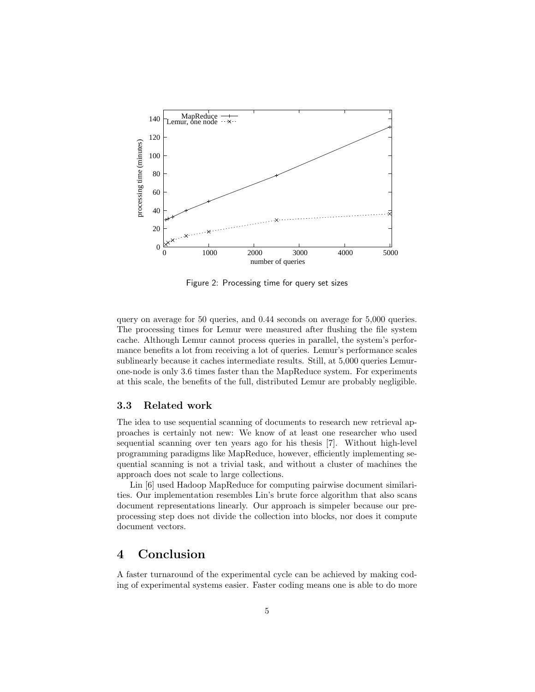

Figure 2: Processing time for query set sizes

query on average for 50 queries, and 0.44 seconds on average for 5,000 queries. The processing times for Lemur were measured after flushing the file system cache. Although Lemur cannot process queries in parallel, the system's performance benefits a lot from receiving a lot of queries. Lemur's performance scales sublinearly because it caches intermediate results. Still, at 5,000 queries Lemurone-node is only 3.6 times faster than the MapReduce system. For experiments at this scale, the benefits of the full, distributed Lemur are probably negligible.

#### 3.3 Related work

The idea to use sequential scanning of documents to research new retrieval approaches is certainly not new: We know of at least one researcher who used sequential scanning over ten years ago for his thesis [7]. Without high-level programming paradigms like MapReduce, however, efficiently implementing sequential scanning is not a trivial task, and without a cluster of machines the approach does not scale to large collections.

Lin [6] used Hadoop MapReduce for computing pairwise document similarities. Our implementation resembles Lin's brute force algorithm that also scans document representations linearly. Our approach is simpeler because our preprocessing step does not divide the collection into blocks, nor does it compute document vectors.

## 4 Conclusion

A faster turnaround of the experimental cycle can be achieved by making coding of experimental systems easier. Faster coding means one is able to do more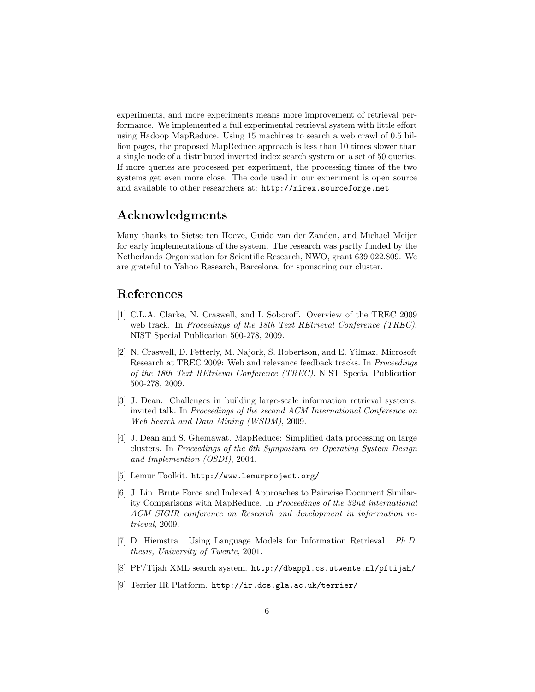experiments, and more experiments means more improvement of retrieval performance. We implemented a full experimental retrieval system with little effort using Hadoop MapReduce. Using 15 machines to search a web crawl of 0.5 billion pages, the proposed MapReduce approach is less than 10 times slower than a single node of a distributed inverted index search system on a set of 50 queries. If more queries are processed per experiment, the processing times of the two systems get even more close. The code used in our experiment is open source and available to other researchers at: http://mirex.sourceforge.net

## Acknowledgments

Many thanks to Sietse ten Hoeve, Guido van der Zanden, and Michael Meijer for early implementations of the system. The research was partly funded by the Netherlands Organization for Scientific Research, NWO, grant 639.022.809. We are grateful to Yahoo Research, Barcelona, for sponsoring our cluster.

### References

- [1] C.L.A. Clarke, N. Craswell, and I. Soboroff. Overview of the TREC 2009 web track. In Proceedings of the 18th Text REtrieval Conference (TREC). NIST Special Publication 500-278, 2009.
- [2] N. Craswell, D. Fetterly, M. Najork, S. Robertson, and E. Yilmaz. Microsoft Research at TREC 2009: Web and relevance feedback tracks. In Proceedings of the 18th Text REtrieval Conference (TREC). NIST Special Publication 500-278, 2009.
- [3] J. Dean. Challenges in building large-scale information retrieval systems: invited talk. In Proceedings of the second ACM International Conference on Web Search and Data Mining (WSDM), 2009.
- [4] J. Dean and S. Ghemawat. MapReduce: Simplified data processing on large clusters. In Proceedings of the 6th Symposium on Operating System Design and Implemention (OSDI), 2004.
- [5] Lemur Toolkit. http://www.lemurproject.org/
- [6] J. Lin. Brute Force and Indexed Approaches to Pairwise Document Similarity Comparisons with MapReduce. In Proceedings of the 32nd international ACM SIGIR conference on Research and development in information retrieval, 2009.
- [7] D. Hiemstra. Using Language Models for Information Retrieval. Ph.D. thesis, University of Twente, 2001.
- [8] PF/Tijah XML search system. http://dbappl.cs.utwente.nl/pftijah/
- [9] Terrier IR Platform. http://ir.dcs.gla.ac.uk/terrier/